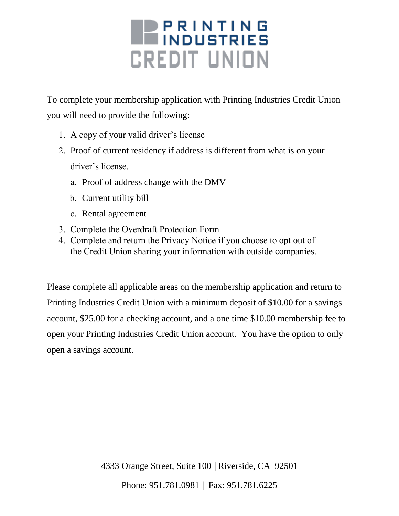# **BERINTING** *CREDIT UNION*

To complete your membership application with Printing Industries Credit Union you will need to provide the following:

- 1. A copy of your valid driver's license
- 2. Proof of current residency if address is different from what is on your driver's license.
	- a. Proof of address change with the DMV
	- b. Current utility bill
	- c. Rental agreement
- 3. Complete the Overdraft Protection Form
- 4. Complete and return the Privacy Notice if you choose to opt out of the Credit Union sharing your information with outside companies.

Please complete all applicable areas on the membership application and return to Printing Industries Credit Union with a minimum deposit of \$10.00 for a savings account, \$25.00 for a checking account, and a one time \$10.00 membership fee to open your Printing Industries Credit Union account. You have the option to only open a savings account.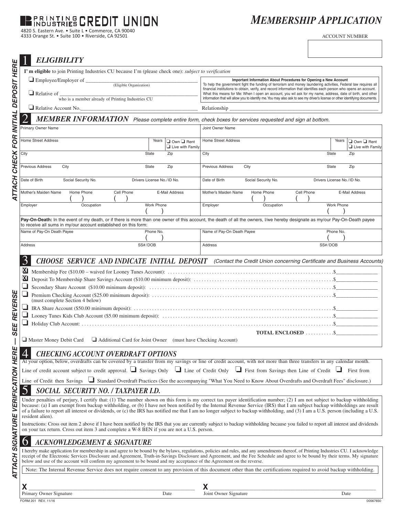#### **PRINTING CREDIT NION**

4820 S. Eastern Ave. • Suite L • Commerce, CA 90040 4333 Orange St. • Suite 100 • Riverside, CA 92501

## *MEMBERSHIP APPLICATION*

ACCOUNT NUMBER

| <b>ELIGIBILITY</b>                                                                                                                                                                                                                                                                                                                                                                                                                                                                                                                                          |                                                                                                                                                                                                                                                                                                                                                                                                                                                                                                                                                        |  |  |  |
|-------------------------------------------------------------------------------------------------------------------------------------------------------------------------------------------------------------------------------------------------------------------------------------------------------------------------------------------------------------------------------------------------------------------------------------------------------------------------------------------------------------------------------------------------------------|--------------------------------------------------------------------------------------------------------------------------------------------------------------------------------------------------------------------------------------------------------------------------------------------------------------------------------------------------------------------------------------------------------------------------------------------------------------------------------------------------------------------------------------------------------|--|--|--|
| HERE<br>I'm eligible to join Printing Industries CU because I'm (please check one): <i>subject to verification</i>                                                                                                                                                                                                                                                                                                                                                                                                                                          |                                                                                                                                                                                                                                                                                                                                                                                                                                                                                                                                                        |  |  |  |
| Employee/Employer of Chigible Organization<br><b>DEPOSIT</b><br>$\Box$ Relative of<br>who is a member already of Printing Industries CU                                                                                                                                                                                                                                                                                                                                                                                                                     | Important Information About Procedures for Opening a New Account<br>To help the government fight the funding of terrorism and money laundering activities, Federal law requires all<br>financial institutions to obtain, verify, and record information that identifies each person who opens an account.<br>What this means for Me: When I open an account, you wil ask for my name, address, date of birth, and other<br>information that will allow you to identify me. You may also ask to see my driver's license or other identifying documents. |  |  |  |
| Relative Account No.                                                                                                                                                                                                                                                                                                                                                                                                                                                                                                                                        |                                                                                                                                                                                                                                                                                                                                                                                                                                                                                                                                                        |  |  |  |
| MEMBER INFORMATION Please complete entire form, check boxes for services requested and sign at bottom.                                                                                                                                                                                                                                                                                                                                                                                                                                                      |                                                                                                                                                                                                                                                                                                                                                                                                                                                                                                                                                        |  |  |  |
| <b>INITIAL</b><br>Primary Owner Name                                                                                                                                                                                                                                                                                                                                                                                                                                                                                                                        | Joint Owner Name                                                                                                                                                                                                                                                                                                                                                                                                                                                                                                                                       |  |  |  |
| <b>FOR</b><br><b>Home Street Address</b><br>Years<br>$\Box$ Own $\Box$ Rent<br>$\Box$ Live with Family                                                                                                                                                                                                                                                                                                                                                                                                                                                      | <b>Home Street Address</b><br>Years<br>$\Box$ Own $\Box$ Rent<br>$\Box$ Live with Family                                                                                                                                                                                                                                                                                                                                                                                                                                                               |  |  |  |
| City<br>Zip<br>State                                                                                                                                                                                                                                                                                                                                                                                                                                                                                                                                        | City<br>State<br>Zip                                                                                                                                                                                                                                                                                                                                                                                                                                                                                                                                   |  |  |  |
| CHECK<br>Previous Address<br>City<br>Zip<br>State                                                                                                                                                                                                                                                                                                                                                                                                                                                                                                           | Previous Address<br>State<br>City<br>Zip                                                                                                                                                                                                                                                                                                                                                                                                                                                                                                               |  |  |  |
| 5<br>Date of Birth<br>Social Security No.<br>Drivers License No./ID No.                                                                                                                                                                                                                                                                                                                                                                                                                                                                                     | Date of Birth<br>Social Security No.<br>Drivers License No./ID No.                                                                                                                                                                                                                                                                                                                                                                                                                                                                                     |  |  |  |
| ATTA<br>Mother's Maiden Name<br>Cell Phone<br>Home Phone<br>E-Mail Address                                                                                                                                                                                                                                                                                                                                                                                                                                                                                  | Mother's Maiden Name<br>Home Phone<br>Cell Phone<br>E-Mail Address                                                                                                                                                                                                                                                                                                                                                                                                                                                                                     |  |  |  |
| Occupation<br>Work Phone<br>Employer                                                                                                                                                                                                                                                                                                                                                                                                                                                                                                                        | Employer<br>Work Phone<br>Occupation                                                                                                                                                                                                                                                                                                                                                                                                                                                                                                                   |  |  |  |
| to receive all sums in my/our account established on this form:                                                                                                                                                                                                                                                                                                                                                                                                                                                                                             | Pay-On-Death: In the event of my death, or if there is more than one owner of this account, the death of all the owners, I/we hereby designate as my/our Pay-On-Death payee                                                                                                                                                                                                                                                                                                                                                                            |  |  |  |
| Name of Pay-On Death Payee<br>Phone No.                                                                                                                                                                                                                                                                                                                                                                                                                                                                                                                     | Name of Pay-On Death Payee<br>Phone No.                                                                                                                                                                                                                                                                                                                                                                                                                                                                                                                |  |  |  |
| SS#/DOB<br>Address                                                                                                                                                                                                                                                                                                                                                                                                                                                                                                                                          | Address<br>SS#/DOB                                                                                                                                                                                                                                                                                                                                                                                                                                                                                                                                     |  |  |  |
| $\mathbf{X}$<br><b>REVERSE</b><br>(must complete Section 4 below)<br>Щ<br><b>SEI</b><br>TOTAL ENCLOSED  \$<br>$\Box$ Master Money Debit Card $\Box$ Additional Card for Joint Owner (must have Checking Account)                                                                                                                                                                                                                                                                                                                                            |                                                                                                                                                                                                                                                                                                                                                                                                                                                                                                                                                        |  |  |  |
| 4<br><b>CHECKING ACCOUNT OVERDRAFT OPTIONS</b>                                                                                                                                                                                                                                                                                                                                                                                                                                                                                                              |                                                                                                                                                                                                                                                                                                                                                                                                                                                                                                                                                        |  |  |  |
| <b>VERIFICATION HERE</b><br>At your option, below, overdrafts can be covered by a transfer from my savings or line of credit account, with not more than three transfers in any calendar month.<br>Line of credit account subject to credit approval. Savings Only $\Box$ Line of Credit Only $\Box$ First from Savings then Line of Credit $\Box$<br>First from<br>Line of Credit then Savings Standard Overdraft Practices (See the accompanying "What You Need to Know About Overdrafts and Overdraft Fees" disclosure.)                                 |                                                                                                                                                                                                                                                                                                                                                                                                                                                                                                                                                        |  |  |  |
| SOCIAL SECURITY NO. / TAXPAYER I.D.                                                                                                                                                                                                                                                                                                                                                                                                                                                                                                                         |                                                                                                                                                                                                                                                                                                                                                                                                                                                                                                                                                        |  |  |  |
| Under penalties of perjury, I certify that: (1) The number shown on this form is my correct tax payer identification number; (2) I am not subject to backup withholding<br>because: (a) I am exempt from backup withholding, or (b) I have not been notified by the Internal Revenue Service (IRS) that I am subject backup withholdings are result<br>of a failure to report all interest or dividends, or (c) the IRS has notified me that I am no longer subject to backup withholding, and (3) I am a U.S. person (including a U.S.<br>resident alien). |                                                                                                                                                                                                                                                                                                                                                                                                                                                                                                                                                        |  |  |  |
| Instructions: Cross out item 2 above if I have been notified by the IRS that you are currently subject to backup withholding because you failed to report all interest and dividends<br>on your tax return. Cross out item 3 and complete a W-8 BEN if you are not a U.S. person.                                                                                                                                                                                                                                                                           |                                                                                                                                                                                                                                                                                                                                                                                                                                                                                                                                                        |  |  |  |
| SIGNATURE<br><b>ACKNOWLEDGEMENT &amp; SIGNATURE</b><br>O                                                                                                                                                                                                                                                                                                                                                                                                                                                                                                    |                                                                                                                                                                                                                                                                                                                                                                                                                                                                                                                                                        |  |  |  |
| I hereby make application for membership in and agree to be bound by the bylaws, regulations, policies and rules, and any amendments thereof, of Printing Industries CU. I acknowledge<br>receipt of the Electronic Services Disclosure and Agreement, Truth-in-Savings Disclosure and Agreement, and the Fee Schedule and agree to be bound by their terms. My signature<br>below and use of the account will confirm my agreement to be bound and my acceptance of the Agreement on the reverse.                                                          |                                                                                                                                                                                                                                                                                                                                                                                                                                                                                                                                                        |  |  |  |
| ATTACH<br>Note: The Internal Revenue Service does not require consent to any provision of this document other than the certifications required to avoid backup withholding.                                                                                                                                                                                                                                                                                                                                                                                 |                                                                                                                                                                                                                                                                                                                                                                                                                                                                                                                                                        |  |  |  |
| X<br>X.                                                                                                                                                                                                                                                                                                                                                                                                                                                                                                                                                     |                                                                                                                                                                                                                                                                                                                                                                                                                                                                                                                                                        |  |  |  |

FORM 201 REV. 11/16 00567650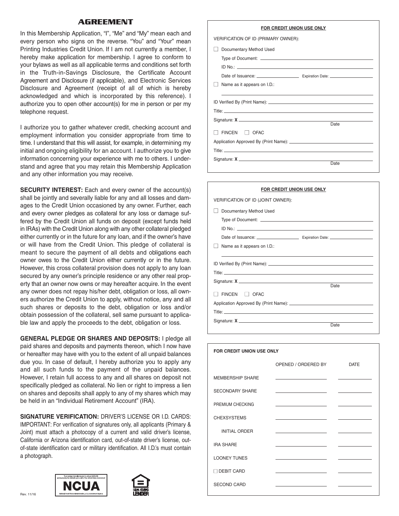#### **AGREEMENT**

In this Membership Application, "I", "Me" and "My" mean each and every person who signs on the reverse. "You" and "Your" mean Printing Industries Credit Union. If I am not currently a member, I hereby make application for membership. I agree to conform to your bylaws as well as all applicable terms and conditions set forth in the Truth-in-Savings Disclosure, the Certificate Account Agreement and Disclosure (if applicable), and Electronic Services Disclosure and Agreement (receipt of all of which is hereby acknowledged and which is incorporated by this reference). I authorize you to open other account(s) for me in person or per my telephone request.

I authorize you to gather whatever credit, checking account and employment information you consider appropriate from time to time. I understand that this will assist, for example, in determining my initial and ongoing eligibility for an account. I authorize you to give information concerning your experience with me to others. I understand and agree that you may retain this Membership Application and any other information you may receive.

**SECURITY INTEREST:** Each and every owner of the account(s) shall be jointly and severally liable for any and all losses and damages to the Credit Union occasioned by any owner. Further, each and every owner pledges as collateral for any loss or damage suffered by the Credit Union all funds on deposit (except funds held in IRAs) with the Credit Union along with any other collateral pledged either currently or in the future for any loan, and if the owner's have or will have from the Credit Union. This pledge of collateral is meant to secure the payment of all debts and obligations each owner owes to the Credit Union either currently or in the future. However, this cross collateral provision does not apply to any loan secured by any owner's principle residence or any other real property that an owner now owns or may hereafter acquire. In the event any owner does not repay his/her debt, obligation or loss, all owners authorize the Credit Union to apply, without notice, any and all such shares or deposits to the debt, obligation or loss and/or obtain possession of the collateral, sell same pursuant to applicable law and apply the proceeds to the debt, obligation or loss.

**GENERAL PLEDGE OR SHARES AND DEPOSITS:** I pledge all paid shares and deposits and payments thereon, which I now have or hereafter may have with you to the extent of all unpaid balances due you. In case of default, I hereby authorize you to apply any and all such funds to the payment of the unpaid balances. However, I retain full access to any and all shares on deposit not specifically pledged as collateral. No lien or right to impress a lien on shares and deposits shall apply to any of my shares which may be held in an "Individual Retirement Account" (IRA).

**SIGNATURE VERIFICATION:** DRIVER'S LICENSE OR I.D. CARDS: IMPORTANT: For verification of signatures only, all applicants (Primary & Joint) must attach a photocopy of a current and valid driver's license, California or Arizona identification card, out-of-state driver's license, outof-state identification card or military identification. All I.D.'s must contain a photograph.





| ו טוו טוובטוו טושטוע טטב טווט       |      |  |
|-------------------------------------|------|--|
| VERIFICATION OF ID (PRIMARY OWNER): |      |  |
| Documentary Method Used             |      |  |
|                                     |      |  |
|                                     |      |  |
|                                     |      |  |
| Name as it appears on I.D.:         |      |  |
|                                     |      |  |
|                                     |      |  |
|                                     |      |  |
|                                     |      |  |
|                                     | Date |  |
| FINCEN <b>DEAC</b>                  |      |  |
|                                     |      |  |
|                                     |      |  |
|                                     |      |  |
|                                     | Date |  |

**FOR CREDIT UNION USE ONLY**

| FOR CREDIT UNION USE ONLY         |      |  |  |  |
|-----------------------------------|------|--|--|--|
| VERIFICATION OF ID (JOINT OWNER): |      |  |  |  |
| Documentary Method Used           |      |  |  |  |
|                                   |      |  |  |  |
|                                   |      |  |  |  |
|                                   |      |  |  |  |
| Name as it appears on I.D.:       |      |  |  |  |
|                                   |      |  |  |  |
|                                   |      |  |  |  |
|                                   |      |  |  |  |
|                                   | Date |  |  |  |
| II FINCEN II OFAC                 |      |  |  |  |
|                                   |      |  |  |  |
|                                   |      |  |  |  |
|                                   |      |  |  |  |
|                                   | Date |  |  |  |

| FOR CREDIT UNION USE ONLY |                                                 |             |  |
|---------------------------|-------------------------------------------------|-------------|--|
|                           | OPENED / ORDERED BY                             | <b>DATE</b> |  |
| <b>MEMBERSHIP SHARE</b>   |                                                 |             |  |
| <b>SECONDARY SHARE</b>    | the control of the control of the control of    |             |  |
| PREMIUM CHECKING          | the contract of the contract of the contract of |             |  |
| <b>CHEXSYSTEMS</b>        | the control of the control of the control of    |             |  |
| <b>INITIAL ORDER</b>      |                                                 |             |  |
| <b>IRA SHARE</b>          |                                                 |             |  |
| <b>LOONEY TUNES</b>       | the control of the control of the control of    |             |  |
| □ DEBIT CARD              |                                                 |             |  |
| <b>SECOND CARD</b>        |                                                 |             |  |
|                           |                                                 |             |  |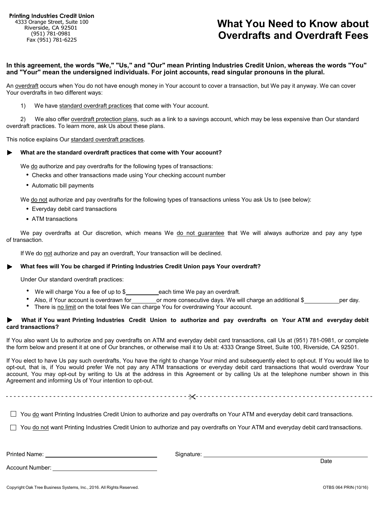## **What You Need to Know about Overdrafts and Overdraft Fees**

**In this agreement, the words "We," "Us," and "Our" mean Printing Industries Credit Union, whereas the words "You" and "Your" mean the undersigned individuals. For joint accounts, read singular pronouns in the plural.**

An overdraft occurs when You do not have enough money in Your account to cover a transaction, but We pay it anyway. We can cover Your overdrafts in two different ways:

1) We have standard overdraft practices that come with Your account.

2) We also offer overdraft protection plans, such as a link to a savings account, which may be less expensive than Our standard overdraft practices. To learn more, ask Us about these plans.

This notice explains Our standard overdraft practices.

#### **What are the standard overdraft practices that come with Your account?**

We do authorize and pay overdrafts for the following types of transactions:

- **.** Checks and other transactions made using Your checking account number
- **.** Automatic bill payments

We do not authorize and pay overdrafts for the following types of transactions unless You ask Us to (see below):

- **.** Everyday debit card transactions
- **.** ATM transactions

We pay overdrafts at Our discretion, which means We do not guarantee that We will always authorize and pay any type of transaction.

If We do not authorize and pay an overdraft, Your transaction will be declined.

#### **What fees will You be charged if Printing Industries Credit Union pays Your overdraft?**

Under Our standard overdraft practices:

- **.** We will charge You a fee of up to \$ each time We pay an overdraft.
- **.** Also, if Your account is overdrawn for or more consecutive days. We will charge an additional \$ per day. **.**
- There is no limit on the total fees We can charge You for overdrawing Your account.

#### **What if You want Printing Industries Credit Union to authorize and pay overdrafts on Your ATM and everyday debit card transactions?**

If You also want Us to authorize and pay overdrafts on ATM and everyday debit card transactions, call Us at (951) 781-0981, or complete the form below and present it at one of Our branches, or otherwise mail it to Us at: 4333 Orange Street, Suite 100, Riverside, CA 92501.

If You elect to have Us pay such overdrafts, You have the right to change Your mind and subsequently elect to opt-out. If You would like to opt-out, that is, if You would prefer We not pay any ATM transactions or everyday debit card transactions that would overdraw Your account, You may opt-out by writing to Us at the address in this Agreement or by calling Us at the telephone number shown in this Agreement and informing Us of Your intention to opt-out.

- - - - - - - - - - - - - - - - - - - - - - - - - - - - - - - - - - - - - - - - - - - - - - - - - - - - - - - - - - - - - - - - - - - - - - - - - - - - - - - - - - - - - - - - - - - - -

 $\Box$  You do want Printing Industries Credit Union to authorize and pay overdrafts on Your ATM and everyday debit card transactions.

 $\Box$  You do not want Printing Industries Credit Union to authorize and pay overdrafts on Your ATM and everyday debit card transactions.

Printed Name:

Signature:

Account Number:

Date